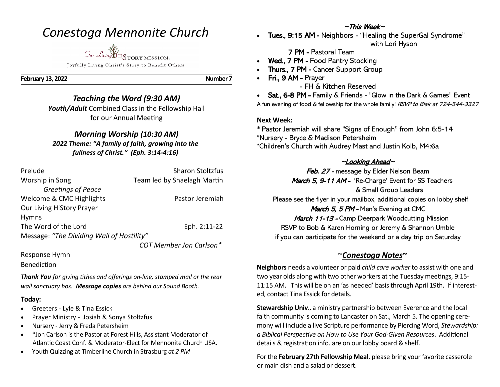## *Conestoga Mennonite Church*

*Our Living* HISTORY MISSION:

Joyfully Living Christ's Story to Benefit Others

**February 13, 2022 Number 7** 

#### *Teaching the Word (9:30 AM) Youth/Adult* Combined Class in the Fellowship Hall

for our Annual Meeting

#### *Morning Worship (10:30 AM)*

*2022 Theme: "A family of faith, growing into the fullness of Christ." (Eph. 3:14-4:16)*

| Prelude                                   | <b>Sharon Stoltzfus</b>        |
|-------------------------------------------|--------------------------------|
| Worship in Song                           | Team led by Shaelagh Martin    |
| <b>Greetings of Peace</b>                 |                                |
| Welcome & CMC Highlights                  | Pastor Jeremiah                |
| Our Living HiStory Prayer                 |                                |
| <b>Hymns</b>                              |                                |
| The Word of the Lord                      | Eph. 2:11-22                   |
| Message: "The Dividing Wall of Hostility" |                                |
|                                           | <b>COT Member Jon Carlson*</b> |

Response Hymn

Benediction

*Thank You for giving tithes and offerings on-line, stamped mail or the rear wall sanctuary box. Message copies are behind our Sound Booth.*

#### **Today:**

- Greeters Lyle & Tina Essick
- Prayer Ministry Josiah & Sonya Stoltzfus
- Nursery Jerry & Freda Petersheim
- \*Jon Carlson is the Pastor at Forest Hills, Assistant Moderator of Atlantic Coast Conf. & Moderator-Elect for Mennonite Church USA.
- Youth Quizzing at Timberline Church in Strasburg *at 2 PM*

## ~This Week~

• Tues., 9:15 AM - Neighbors - "Healing the SuperGal Syndrome" with Lori Hyson

7 PM - Pastoral Team

- Wed., 7 PM Food Pantry Stocking
- Thurs., 7 PM Cancer Support Group
- Fri., 9 AM Prayer

- FH & Kitchen Reserved

• Sat., 6-8 PM - Family & Friends - "Glow in the Dark & Games" Event A fun evening of food & fellowship for the whole family! RSVP to Blair at 724-544-3327

#### **Next Week:**

**\*** Pastor Jeremiah will share "Signs of Enough" from John 6:5-14 \*Nursery - Bryce & Madison Petersheim \*Children's Church with Audrey Mast and Justin Kolb, M4:6a

### <sup>~</sup>Looking Ahead~

Feb. 27 - message by Elder Nelson Beam March 5, 9-11 AM - 'Re-Charge' Event for SS Teachers & Small Group Leaders

Please see the flyer in your mailbox, additional copies on lobby shelf

March 5, 5 PM - Men's Evening at CMC

**March 11-13 - Camp Deerpark Woodcutting Mission** RSVP to Bob & Karen Horning or Jeremy & Shannon Umble if you can participate for the weekend or a day trip on Saturday

## ~*Conestoga Notes~*

**Neighbors** needs a volunteer or paid *child care worker* to assist with one and two year olds along with two other workers at the Tuesday meetings, 9:15- 11:15 AM. This will be on an 'as needed' basis through April 19th. If interested, contact Tina Essick for details.

**Stewardship Univ**., a ministry partnership between Everence and the local faith community is coming to Lancaster on Sat., March 5. The opening ceremony will include a live Scripture performance by Piercing Word, *Stewardship: a Biblical Perspective on How to Use Your God-Given Resources*. Additional details & registration info. are on our lobby board & shelf.

For the **February 27th Fellowship Meal**, please bring your favorite casserole or main dish and a salad or dessert.